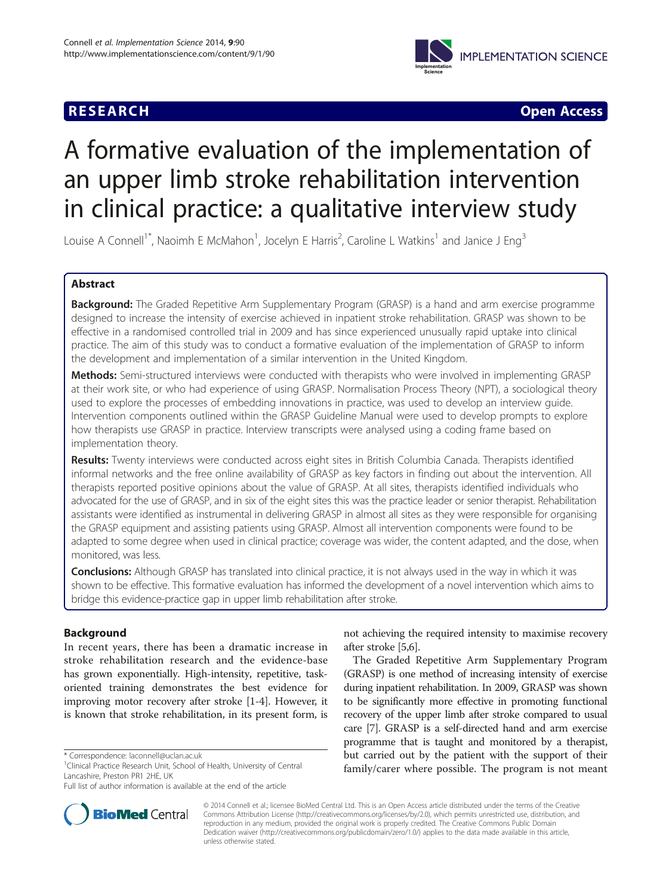



# A formative evaluation of the implementation of an upper limb stroke rehabilitation intervention in clinical practice: a qualitative interview study

Louise A Connell<sup>1\*</sup>, Naoimh E McMahon<sup>1</sup>, Jocelyn E Harris<sup>2</sup>, Caroline L Watkins<sup>1</sup> and Janice J Eng<sup>3</sup>

# Abstract

Background: The Graded Repetitive Arm Supplementary Program (GRASP) is a hand and arm exercise programme designed to increase the intensity of exercise achieved in inpatient stroke rehabilitation. GRASP was shown to be effective in a randomised controlled trial in 2009 and has since experienced unusually rapid uptake into clinical practice. The aim of this study was to conduct a formative evaluation of the implementation of GRASP to inform the development and implementation of a similar intervention in the United Kingdom.

Methods: Semi-structured interviews were conducted with therapists who were involved in implementing GRASP at their work site, or who had experience of using GRASP. Normalisation Process Theory (NPT), a sociological theory used to explore the processes of embedding innovations in practice, was used to develop an interview guide. Intervention components outlined within the GRASP Guideline Manual were used to develop prompts to explore how therapists use GRASP in practice. Interview transcripts were analysed using a coding frame based on implementation theory.

Results: Twenty interviews were conducted across eight sites in British Columbia Canada. Therapists identified informal networks and the free online availability of GRASP as key factors in finding out about the intervention. All therapists reported positive opinions about the value of GRASP. At all sites, therapists identified individuals who advocated for the use of GRASP, and in six of the eight sites this was the practice leader or senior therapist. Rehabilitation assistants were identified as instrumental in delivering GRASP in almost all sites as they were responsible for organising the GRASP equipment and assisting patients using GRASP. Almost all intervention components were found to be adapted to some degree when used in clinical practice; coverage was wider, the content adapted, and the dose, when monitored, was less.

Conclusions: Although GRASP has translated into clinical practice, it is not always used in the way in which it was shown to be effective. This formative evaluation has informed the development of a novel intervention which aims to bridge this evidence-practice gap in upper limb rehabilitation after stroke.

# Background

In recent years, there has been a dramatic increase in stroke rehabilitation research and the evidence-base has grown exponentially. High-intensity, repetitive, taskoriented training demonstrates the best evidence for improving motor recovery after stroke [[1-4\]](#page-10-0). However, it is known that stroke rehabilitation, in its present form, is



The Graded Repetitive Arm Supplementary Program (GRASP) is one method of increasing intensity of exercise during inpatient rehabilitation. In 2009, GRASP was shown to be significantly more effective in promoting functional recovery of the upper limb after stroke compared to usual care [[7\]](#page-10-0). GRASP is a self-directed hand and arm exercise programme that is taught and monitored by a therapist, but carried out by the patient with the support of their family/carer where possible. The program is not meant



© 2014 Connell et al.; licensee BioMed Central Ltd. This is an Open Access article distributed under the terms of the Creative Commons Attribution License [\(http://creativecommons.org/licenses/by/2.0\)](http://creativecommons.org/licenses/by/2.0), which permits unrestricted use, distribution, and reproduction in any medium, provided the original work is properly credited. The Creative Commons Public Domain Dedication waiver [\(http://creativecommons.org/publicdomain/zero/1.0/](http://creativecommons.org/publicdomain/zero/1.0/)) applies to the data made available in this article, unless otherwise stated.

<sup>\*</sup> Correspondence: [laconnell@uclan.ac.uk](mailto:laconnell@uclan.ac.uk) <sup>1</sup>

<sup>&</sup>lt;sup>1</sup> Clinical Practice Research Unit, School of Health, University of Central Lancashire, Preston PR1 2HE, UK

Full list of author information is available at the end of the article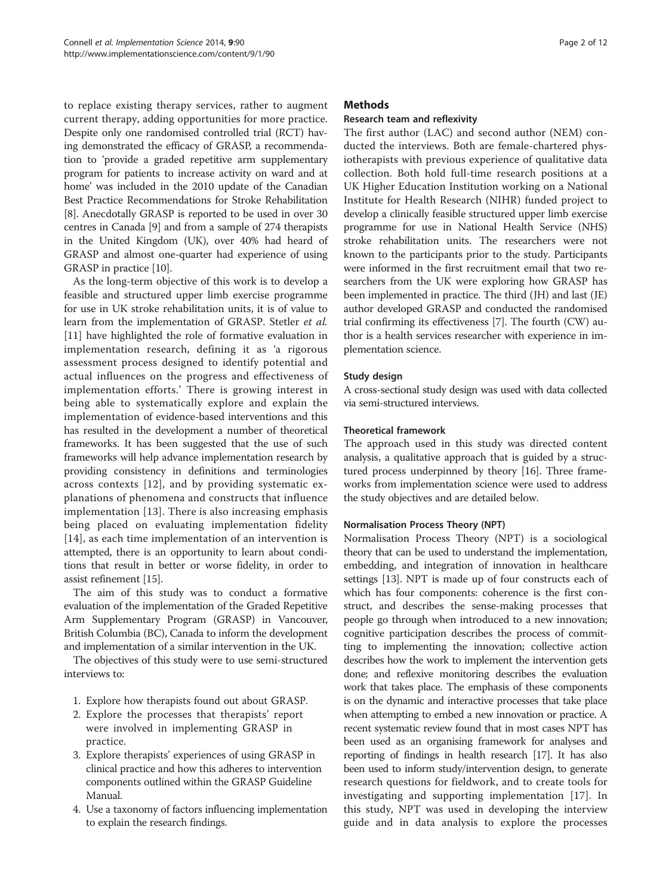to replace existing therapy services, rather to augment current therapy, adding opportunities for more practice. Despite only one randomised controlled trial (RCT) having demonstrated the efficacy of GRASP, a recommendation to 'provide a graded repetitive arm supplementary program for patients to increase activity on ward and at home' was included in the 2010 update of the Canadian Best Practice Recommendations for Stroke Rehabilitation [[8\]](#page-10-0). Anecdotally GRASP is reported to be used in over 30 centres in Canada [[9\]](#page-10-0) and from a sample of 274 therapists in the United Kingdom (UK), over 40% had heard of GRASP and almost one-quarter had experience of using GRASP in practice [[10](#page-10-0)].

As the long-term objective of this work is to develop a feasible and structured upper limb exercise programme for use in UK stroke rehabilitation units, it is of value to learn from the implementation of GRASP. Stetler et al. [[11\]](#page-10-0) have highlighted the role of formative evaluation in implementation research, defining it as 'a rigorous assessment process designed to identify potential and actual influences on the progress and effectiveness of implementation efforts.' There is growing interest in being able to systematically explore and explain the implementation of evidence-based interventions and this has resulted in the development a number of theoretical frameworks. It has been suggested that the use of such frameworks will help advance implementation research by providing consistency in definitions and terminologies across contexts [[12\]](#page-10-0), and by providing systematic explanations of phenomena and constructs that influence implementation [\[13](#page-10-0)]. There is also increasing emphasis being placed on evaluating implementation fidelity [[14](#page-10-0)], as each time implementation of an intervention is attempted, there is an opportunity to learn about conditions that result in better or worse fidelity, in order to assist refinement [[15](#page-10-0)].

The aim of this study was to conduct a formative evaluation of the implementation of the Graded Repetitive Arm Supplementary Program (GRASP) in Vancouver, British Columbia (BC), Canada to inform the development and implementation of a similar intervention in the UK.

The objectives of this study were to use semi-structured interviews to:

- 1. Explore how therapists found out about GRASP.
- 2. Explore the processes that therapists' report were involved in implementing GRASP in practice.
- 3. Explore therapists' experiences of using GRASP in clinical practice and how this adheres to intervention components outlined within the GRASP Guideline Manual.
- 4. Use a taxonomy of factors influencing implementation to explain the research findings.

# **Methods**

## Research team and reflexivity

The first author (LAC) and second author (NEM) conducted the interviews. Both are female-chartered physiotherapists with previous experience of qualitative data collection. Both hold full-time research positions at a UK Higher Education Institution working on a National Institute for Health Research (NIHR) funded project to develop a clinically feasible structured upper limb exercise programme for use in National Health Service (NHS) stroke rehabilitation units. The researchers were not known to the participants prior to the study. Participants were informed in the first recruitment email that two researchers from the UK were exploring how GRASP has been implemented in practice. The third (JH) and last (JE) author developed GRASP and conducted the randomised trial confirming its effectiveness [[7](#page-10-0)]. The fourth (CW) author is a health services researcher with experience in implementation science.

# Study design

A cross-sectional study design was used with data collected via semi-structured interviews.

# Theoretical framework

The approach used in this study was directed content analysis, a qualitative approach that is guided by a structured process underpinned by theory [\[16\]](#page-10-0). Three frameworks from implementation science were used to address the study objectives and are detailed below.

#### Normalisation Process Theory (NPT)

Normalisation Process Theory (NPT) is a sociological theory that can be used to understand the implementation, embedding, and integration of innovation in healthcare settings [[13](#page-10-0)]. NPT is made up of four constructs each of which has four components: coherence is the first construct, and describes the sense-making processes that people go through when introduced to a new innovation; cognitive participation describes the process of committing to implementing the innovation; collective action describes how the work to implement the intervention gets done; and reflexive monitoring describes the evaluation work that takes place. The emphasis of these components is on the dynamic and interactive processes that take place when attempting to embed a new innovation or practice. A recent systematic review found that in most cases NPT has been used as an organising framework for analyses and reporting of findings in health research [\[17\]](#page-10-0). It has also been used to inform study/intervention design, to generate research questions for fieldwork, and to create tools for investigating and supporting implementation [[17\]](#page-10-0). In this study, NPT was used in developing the interview guide and in data analysis to explore the processes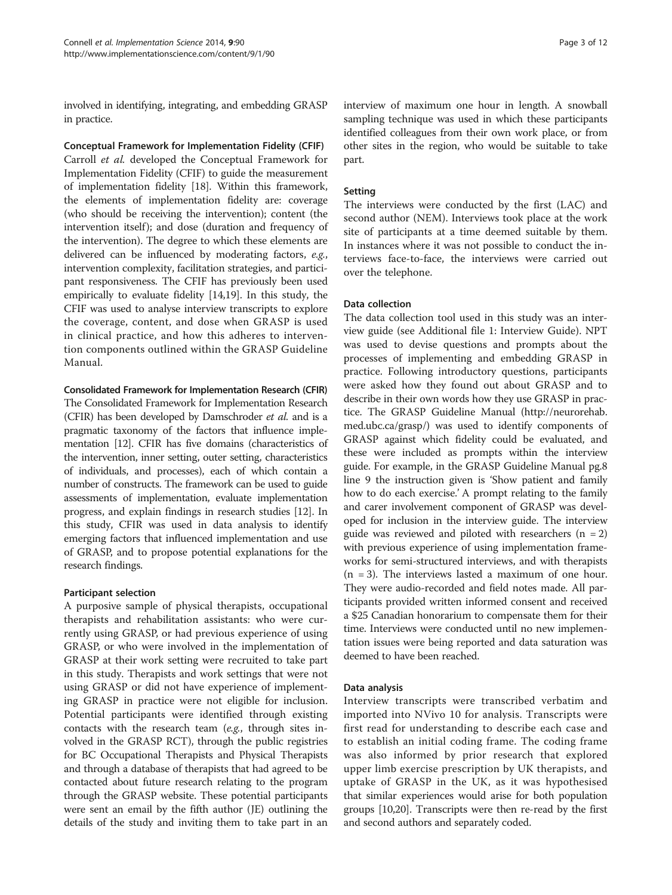involved in identifying, integrating, and embedding GRASP in practice.

Conceptual Framework for Implementation Fidelity (CFIF) Carroll et al. developed the Conceptual Framework for Implementation Fidelity (CFIF) to guide the measurement of implementation fidelity [[18](#page-10-0)]. Within this framework, the elements of implementation fidelity are: coverage (who should be receiving the intervention); content (the intervention itself); and dose (duration and frequency of the intervention). The degree to which these elements are delivered can be influenced by moderating factors, e.g., intervention complexity, facilitation strategies, and participant responsiveness. The CFIF has previously been used empirically to evaluate fidelity [\[14,19](#page-10-0)]. In this study, the CFIF was used to analyse interview transcripts to explore the coverage, content, and dose when GRASP is used in clinical practice, and how this adheres to intervention components outlined within the GRASP Guideline Manual.

#### Consolidated Framework for Implementation Research (CFIR)

The Consolidated Framework for Implementation Research (CFIR) has been developed by Damschroder et al. and is a pragmatic taxonomy of the factors that influence implementation [\[12\]](#page-10-0). CFIR has five domains (characteristics of the intervention, inner setting, outer setting, characteristics of individuals, and processes), each of which contain a number of constructs. The framework can be used to guide assessments of implementation, evaluate implementation progress, and explain findings in research studies [[12](#page-10-0)]. In this study, CFIR was used in data analysis to identify emerging factors that influenced implementation and use of GRASP, and to propose potential explanations for the research findings.

#### Participant selection

A purposive sample of physical therapists, occupational therapists and rehabilitation assistants: who were currently using GRASP, or had previous experience of using GRASP, or who were involved in the implementation of GRASP at their work setting were recruited to take part in this study. Therapists and work settings that were not using GRASP or did not have experience of implementing GRASP in practice were not eligible for inclusion. Potential participants were identified through existing contacts with the research team (e.g., through sites involved in the GRASP RCT), through the public registries for BC Occupational Therapists and Physical Therapists and through a database of therapists that had agreed to be contacted about future research relating to the program through the GRASP website. These potential participants were sent an email by the fifth author (JE) outlining the details of the study and inviting them to take part in an interview of maximum one hour in length. A snowball sampling technique was used in which these participants identified colleagues from their own work place, or from other sites in the region, who would be suitable to take part.

#### Setting

The interviews were conducted by the first (LAC) and second author (NEM). Interviews took place at the work site of participants at a time deemed suitable by them. In instances where it was not possible to conduct the interviews face-to-face, the interviews were carried out over the telephone.

#### Data collection

The data collection tool used in this study was an interview guide (see Additional file [1](#page-9-0): Interview Guide). NPT was used to devise questions and prompts about the processes of implementing and embedding GRASP in practice. Following introductory questions, participants were asked how they found out about GRASP and to describe in their own words how they use GRASP in practice. The GRASP Guideline Manual [\(http://neurorehab.](http://neurorehab.med.ubc.ca/grasp/) [med.ubc.ca/grasp/](http://neurorehab.med.ubc.ca/grasp/)) was used to identify components of GRASP against which fidelity could be evaluated, and these were included as prompts within the interview guide. For example, in the GRASP Guideline Manual pg.8 line 9 the instruction given is 'Show patient and family how to do each exercise.' A prompt relating to the family and carer involvement component of GRASP was developed for inclusion in the interview guide. The interview guide was reviewed and piloted with researchers  $(n = 2)$ with previous experience of using implementation frameworks for semi-structured interviews, and with therapists  $(n = 3)$ . The interviews lasted a maximum of one hour. They were audio-recorded and field notes made. All participants provided written informed consent and received a \$25 Canadian honorarium to compensate them for their time. Interviews were conducted until no new implementation issues were being reported and data saturation was deemed to have been reached.

#### Data analysis

Interview transcripts were transcribed verbatim and imported into NVivo 10 for analysis. Transcripts were first read for understanding to describe each case and to establish an initial coding frame. The coding frame was also informed by prior research that explored upper limb exercise prescription by UK therapists, and uptake of GRASP in the UK, as it was hypothesised that similar experiences would arise for both population groups [[10,20\]](#page-10-0). Transcripts were then re-read by the first and second authors and separately coded.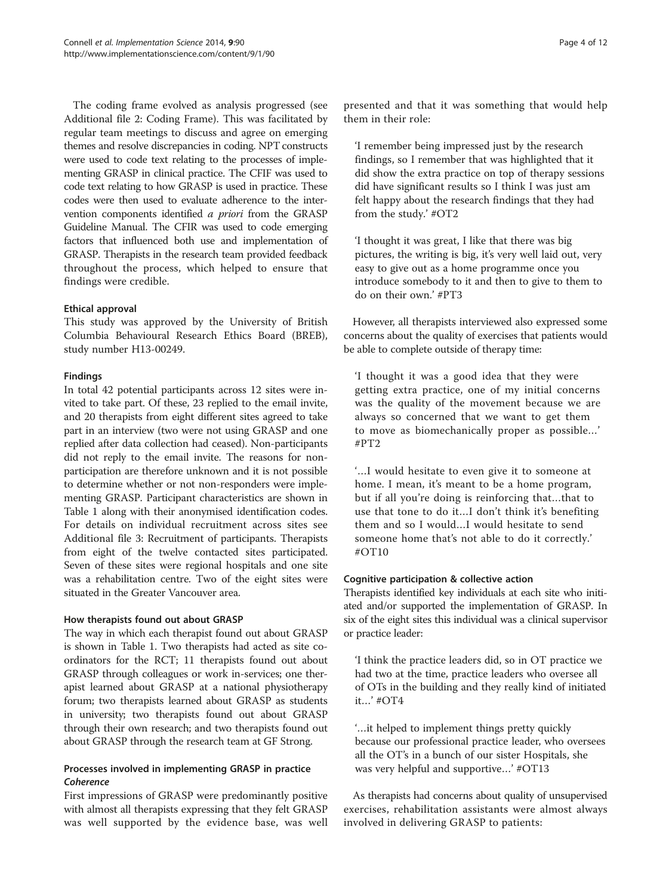The coding frame evolved as analysis progressed (see Additional file [2](#page-9-0): Coding Frame). This was facilitated by regular team meetings to discuss and agree on emerging themes and resolve discrepancies in coding. NPT constructs were used to code text relating to the processes of implementing GRASP in clinical practice. The CFIF was used to code text relating to how GRASP is used in practice. These codes were then used to evaluate adherence to the intervention components identified a priori from the GRASP Guideline Manual. The CFIR was used to code emerging factors that influenced both use and implementation of GRASP. Therapists in the research team provided feedback throughout the process, which helped to ensure that findings were credible.

#### Ethical approval

This study was approved by the University of British Columbia Behavioural Research Ethics Board (BREB), study number H13-00249.

# Findings

In total 42 potential participants across 12 sites were invited to take part. Of these, 23 replied to the email invite, and 20 therapists from eight different sites agreed to take part in an interview (two were not using GRASP and one replied after data collection had ceased). Non-participants did not reply to the email invite. The reasons for nonparticipation are therefore unknown and it is not possible to determine whether or not non-responders were implementing GRASP. Participant characteristics are shown in Table [1](#page-4-0) along with their anonymised identification codes. For details on individual recruitment across sites see Additional file [3](#page-9-0): Recruitment of participants. Therapists from eight of the twelve contacted sites participated. Seven of these sites were regional hospitals and one site was a rehabilitation centre. Two of the eight sites were situated in the Greater Vancouver area.

#### How therapists found out about GRASP

The way in which each therapist found out about GRASP is shown in Table [1](#page-4-0). Two therapists had acted as site coordinators for the RCT; 11 therapists found out about GRASP through colleagues or work in-services; one therapist learned about GRASP at a national physiotherapy forum; two therapists learned about GRASP as students in university; two therapists found out about GRASP through their own research; and two therapists found out about GRASP through the research team at GF Strong.

# Processes involved in implementing GRASP in practice Coherence

First impressions of GRASP were predominantly positive with almost all therapists expressing that they felt GRASP was well supported by the evidence base, was well

presented and that it was something that would help them in their role:

'I remember being impressed just by the research findings, so I remember that was highlighted that it did show the extra practice on top of therapy sessions did have significant results so I think I was just am felt happy about the research findings that they had from the study.' #OT2

'I thought it was great, I like that there was big pictures, the writing is big, it's very well laid out, very easy to give out as a home programme once you introduce somebody to it and then to give to them to do on their own.' #PT3

However, all therapists interviewed also expressed some concerns about the quality of exercises that patients would be able to complete outside of therapy time:

'I thought it was a good idea that they were getting extra practice, one of my initial concerns was the quality of the movement because we are always so concerned that we want to get them to move as biomechanically proper as possible…' #PT2

'…I would hesitate to even give it to someone at home. I mean, it's meant to be a home program, but if all you're doing is reinforcing that…that to use that tone to do it…I don't think it's benefiting them and so I would…I would hesitate to send someone home that's not able to do it correctly.' #OT10

# Cognitive participation & collective action

Therapists identified key individuals at each site who initiated and/or supported the implementation of GRASP. In six of the eight sites this individual was a clinical supervisor or practice leader:

'I think the practice leaders did, so in OT practice we had two at the time, practice leaders who oversee all of OTs in the building and they really kind of initiated it…' #OT4

'…it helped to implement things pretty quickly because our professional practice leader, who oversees all the OT's in a bunch of our sister Hospitals, she was very helpful and supportive...' #OT13

As therapists had concerns about quality of unsupervised exercises, rehabilitation assistants were almost always involved in delivering GRASP to patients: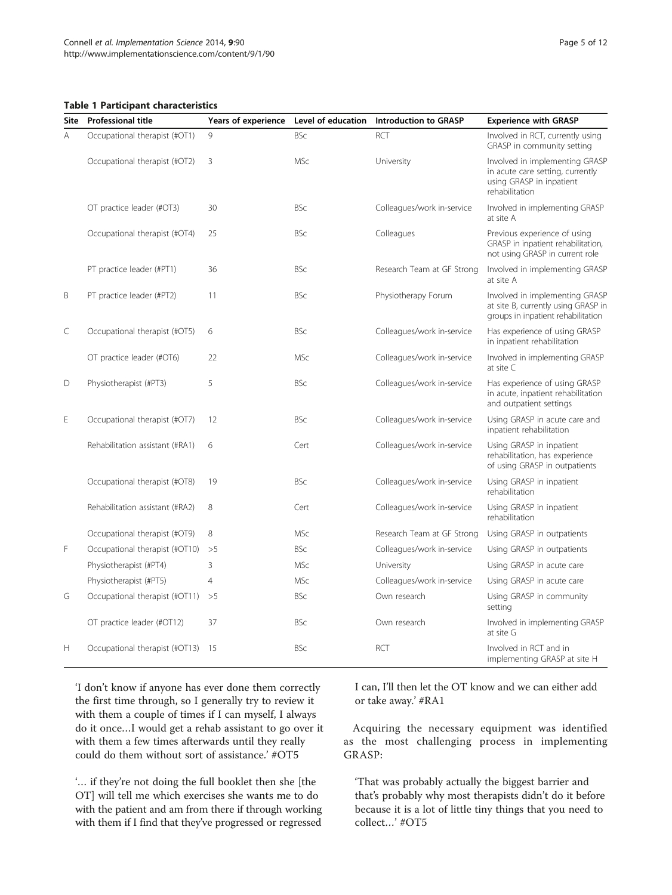#### <span id="page-4-0"></span>Table 1 Participant characteristics

| <b>Site</b> | Professional title                | Years of experience | Level of education | Introduction to GRASP      | <b>Experience with GRASP</b>                                                                                     |
|-------------|-----------------------------------|---------------------|--------------------|----------------------------|------------------------------------------------------------------------------------------------------------------|
| A           | Occupational therapist (#OT1)     | 9                   | <b>BSc</b>         | RCT                        | Involved in RCT, currently using<br>GRASP in community setting                                                   |
|             | Occupational therapist (#OT2)     | 3                   | <b>MSc</b>         | University                 | Involved in implementing GRASP<br>in acute care setting, currently<br>using GRASP in inpatient<br>rehabilitation |
|             | OT practice leader (#OT3)         | 30                  | <b>BSc</b>         | Colleagues/work in-service | Involved in implementing GRASP<br>at site A                                                                      |
|             | Occupational therapist (#OT4)     | 25                  | <b>BSc</b>         | Colleagues                 | Previous experience of using<br>GRASP in inpatient rehabilitation,<br>not using GRASP in current role            |
|             | PT practice leader (#PT1)         | 36                  | <b>BSc</b>         | Research Team at GF Strong | Involved in implementing GRASP<br>at site A                                                                      |
| B           | PT practice leader (#PT2)         | 11                  | <b>BSc</b>         | Physiotherapy Forum        | Involved in implementing GRASP<br>at site B, currently using GRASP in<br>groups in inpatient rehabilitation      |
| C           | Occupational therapist (#OT5)     | 6                   | <b>BSc</b>         | Colleagues/work in-service | Has experience of using GRASP<br>in inpatient rehabilitation                                                     |
|             | OT practice leader (#OT6)         | 22                  | <b>MSc</b>         | Colleagues/work in-service | Involved in implementing GRASP<br>at site C                                                                      |
| D           | Physiotherapist (#PT3)            | 5                   | <b>BSc</b>         | Colleagues/work in-service | Has experience of using GRASP<br>in acute, inpatient rehabilitation<br>and outpatient settings                   |
| E           | Occupational therapist (#OT7)     | 12                  | <b>BSc</b>         | Colleagues/work in-service | Using GRASP in acute care and<br>inpatient rehabilitation                                                        |
|             | Rehabilitation assistant (#RA1)   | 6                   | Cert               | Colleagues/work in-service | Using GRASP in inpatient<br>rehabilitation, has experience<br>of using GRASP in outpatients                      |
|             | Occupational therapist (#OT8)     | 19                  | <b>BSc</b>         | Colleagues/work in-service | Using GRASP in inpatient<br>rehabilitation                                                                       |
|             | Rehabilitation assistant (#RA2)   | 8                   | Cert               | Colleagues/work in-service | Using GRASP in inpatient<br>rehabilitation                                                                       |
|             | Occupational therapist (#OT9)     | 8                   | <b>MSc</b>         | Research Team at GF Strong | Using GRASP in outpatients                                                                                       |
| F           | Occupational therapist (#OT10)    | >5                  | <b>BSc</b>         | Colleagues/work in-service | Using GRASP in outpatients                                                                                       |
|             | Physiotherapist (#PT4)            | 3                   | MSc                | University                 | Using GRASP in acute care                                                                                        |
|             | Physiotherapist (#PT5)            | $\overline{4}$      | <b>MSc</b>         | Colleagues/work in-service | Using GRASP in acute care                                                                                        |
| G           | Occupational therapist (#OT11) >5 |                     | <b>BSc</b>         | Own research               | Using GRASP in community<br>setting                                                                              |
|             | OT practice leader (#OT12)        | 37                  | <b>BSc</b>         | Own research               | Involved in implementing GRASP<br>at site G                                                                      |
| н           | Occupational therapist (#OT13) 15 |                     | <b>BSc</b>         | RCT                        | Involved in RCT and in<br>implementing GRASP at site H                                                           |

'I don't know if anyone has ever done them correctly the first time through, so I generally try to review it with them a couple of times if I can myself, I always do it once…I would get a rehab assistant to go over it with them a few times afterwards until they really could do them without sort of assistance.' #OT5

'… if they're not doing the full booklet then she [the OT] will tell me which exercises she wants me to do with the patient and am from there if through working with them if I find that they've progressed or regressed

I can, I'll then let the OT know and we can either add or take away.' #RA1

Acquiring the necessary equipment was identified as the most challenging process in implementing GRASP:

'That was probably actually the biggest barrier and that's probably why most therapists didn't do it before because it is a lot of little tiny things that you need to collect…' #OT5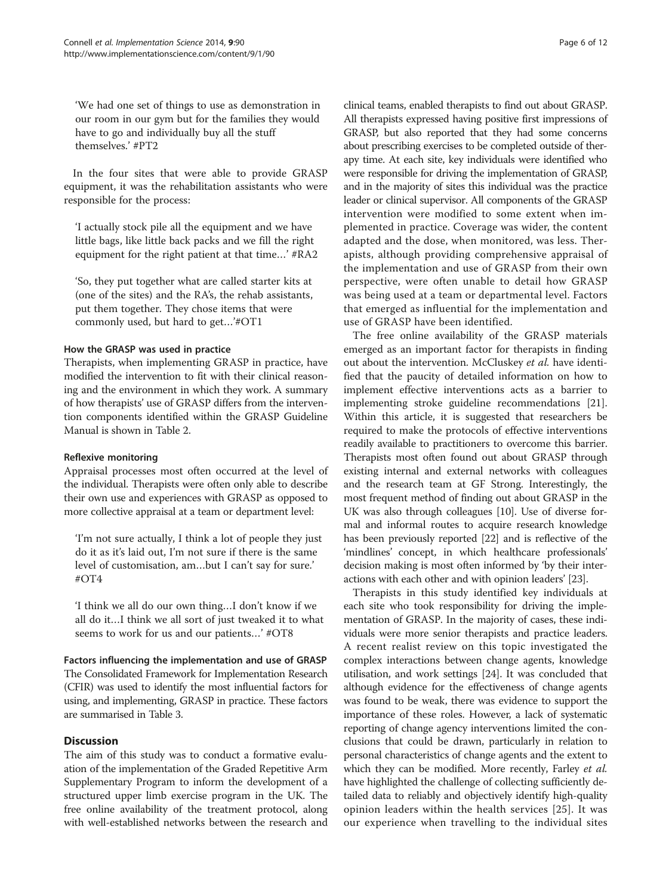'We had one set of things to use as demonstration in our room in our gym but for the families they would have to go and individually buy all the stuff themselves.' #PT2

In the four sites that were able to provide GRASP equipment, it was the rehabilitation assistants who were responsible for the process:

'I actually stock pile all the equipment and we have little bags, like little back packs and we fill the right equipment for the right patient at that time…' #RA2

'So, they put together what are called starter kits at (one of the sites) and the RA's, the rehab assistants, put them together. They chose items that were commonly used, but hard to get…'#OT1

#### How the GRASP was used in practice

Therapists, when implementing GRASP in practice, have modified the intervention to fit with their clinical reasoning and the environment in which they work. A summary of how therapists' use of GRASP differs from the intervention components identified within the GRASP Guideline Manual is shown in Table [2](#page-6-0).

#### Reflexive monitoring

Appraisal processes most often occurred at the level of the individual. Therapists were often only able to describe their own use and experiences with GRASP as opposed to more collective appraisal at a team or department level:

'I'm not sure actually, I think a lot of people they just do it as it's laid out, I'm not sure if there is the same level of customisation, am…but I can't say for sure.' #OT4

'I think we all do our own thing…I don't know if we all do it…I think we all sort of just tweaked it to what seems to work for us and our patients…' #OT8

Factors influencing the implementation and use of GRASP The Consolidated Framework for Implementation Research (CFIR) was used to identify the most influential factors for using, and implementing, GRASP in practice. These factors are summarised in Table [3](#page-7-0).

# **Discussion**

The aim of this study was to conduct a formative evaluation of the implementation of the Graded Repetitive Arm Supplementary Program to inform the development of a structured upper limb exercise program in the UK. The free online availability of the treatment protocol, along with well-established networks between the research and clinical teams, enabled therapists to find out about GRASP. All therapists expressed having positive first impressions of GRASP, but also reported that they had some concerns about prescribing exercises to be completed outside of therapy time. At each site, key individuals were identified who were responsible for driving the implementation of GRASP, and in the majority of sites this individual was the practice leader or clinical supervisor. All components of the GRASP intervention were modified to some extent when implemented in practice. Coverage was wider, the content adapted and the dose, when monitored, was less. Therapists, although providing comprehensive appraisal of the implementation and use of GRASP from their own perspective, were often unable to detail how GRASP was being used at a team or departmental level. Factors that emerged as influential for the implementation and use of GRASP have been identified.

The free online availability of the GRASP materials emerged as an important factor for therapists in finding out about the intervention. McCluskey et al. have identified that the paucity of detailed information on how to implement effective interventions acts as a barrier to implementing stroke guideline recommendations [\[21](#page-10-0)]. Within this article, it is suggested that researchers be required to make the protocols of effective interventions readily available to practitioners to overcome this barrier. Therapists most often found out about GRASP through existing internal and external networks with colleagues and the research team at GF Strong. Interestingly, the most frequent method of finding out about GRASP in the UK was also through colleagues [\[10\]](#page-10-0). Use of diverse formal and informal routes to acquire research knowledge has been previously reported [[22](#page-10-0)] and is reflective of the 'mindlines' concept, in which healthcare professionals' decision making is most often informed by 'by their interactions with each other and with opinion leaders' [[23](#page-10-0)].

Therapists in this study identified key individuals at each site who took responsibility for driving the implementation of GRASP. In the majority of cases, these individuals were more senior therapists and practice leaders. A recent realist review on this topic investigated the complex interactions between change agents, knowledge utilisation, and work settings [\[24\]](#page-10-0). It was concluded that although evidence for the effectiveness of change agents was found to be weak, there was evidence to support the importance of these roles. However, a lack of systematic reporting of change agency interventions limited the conclusions that could be drawn, particularly in relation to personal characteristics of change agents and the extent to which they can be modified. More recently, Farley *et al.* have highlighted the challenge of collecting sufficiently detailed data to reliably and objectively identify high-quality opinion leaders within the health services [[25](#page-10-0)]. It was our experience when travelling to the individual sites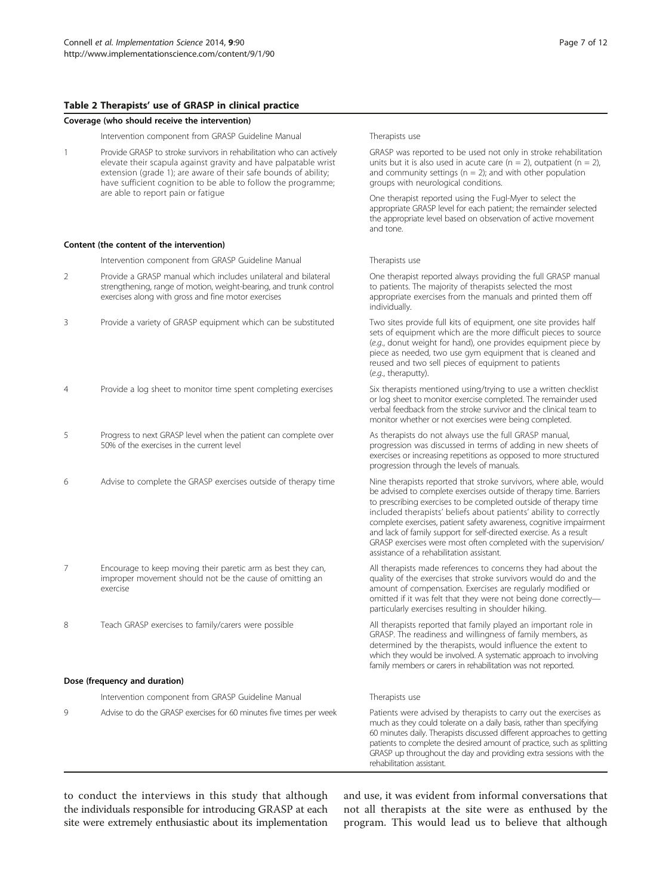#### <span id="page-6-0"></span>Table 2 Therapists' use of GRASP in clinical practice

#### Coverage (who should receive the intervention)

Intervention component from GRASP Guideline Manual Therapists use

1 Provide GRASP to stroke survivors in rehabilitation who can actively elevate their scapula against gravity and have palpatable wrist extension (grade 1); are aware of their safe bounds of ability; have sufficient cognition to be able to follow the programme; are able to report pain or fatigue

#### Content (the content of the intervention)

Intervention component from GRASP Guideline Manual Therapists use

- 2 Provide a GRASP manual which includes unilateral and bilateral strengthening, range of motion, weight-bearing, and trunk control exercises along with gross and fine motor exercises
- 3 Provide a variety of GRASP equipment which can be substituted Two sites provide full kits of equipment, one site provides half
- 4 Provide a log sheet to monitor time spent completing exercises Six therapists mentioned using/trying to use a written checklist
- 5 Progress to next GRASP level when the patient can complete over 50% of the exercises in the current level
- 6 Advise to complete the GRASP exercises outside of therapy time Nine therapists reported that stroke survivors, where able, would
- 7 Encourage to keep moving their paretic arm as best they can, improper movement should not be the cause of omitting an exercise
- 8 Teach GRASP exercises to family/carers were possible All therapists reported that family played an important role in

| Dose (frequency and duration) |                                                                     |                                                                                                                                                                                                                                                                                                                                                                                                 |  |  |  |
|-------------------------------|---------------------------------------------------------------------|-------------------------------------------------------------------------------------------------------------------------------------------------------------------------------------------------------------------------------------------------------------------------------------------------------------------------------------------------------------------------------------------------|--|--|--|
|                               | Intervention component from GRASP Guideline Manual                  | Therapists use                                                                                                                                                                                                                                                                                                                                                                                  |  |  |  |
| 9                             | Advise to do the GRASP exercises for 60 minutes five times per week | Patients were advised by therapists to carry out the exercises as<br>much as they could tolerate on a daily basis, rather than specifying<br>60 minutes daily. Therapists discussed different approaches to getting<br>patients to complete the desired amount of practice, such as splitting<br>GRASP up throughout the day and providing extra sessions with the<br>rehabilitation assistant. |  |  |  |

to conduct the interviews in this study that although the individuals responsible for introducing GRASP at each site were extremely enthusiastic about its implementation and use, it was evident from informal conversations that not all therapists at the site were as enthused by the program. This would lead us to believe that although

GRASP was reported to be used not only in stroke rehabilitation units but it is also used in acute care ( $n = 2$ ), outpatient ( $n = 2$ ), and community settings ( $n = 2$ ); and with other population groups with neurological conditions.

One therapist reported using the Fugl-Myer to select the appropriate GRASP level for each patient; the remainder selected the appropriate level based on observation of active movement and tone.

One therapist reported always providing the full GRASP manual to patients. The majority of therapists selected the most appropriate exercises from the manuals and printed them off individually.

sets of equipment which are the more difficult pieces to source (e.g., donut weight for hand), one provides equipment piece by piece as needed, two use gym equipment that is cleaned and reused and two sell pieces of equipment to patients (e.g., theraputty).

or log sheet to monitor exercise completed. The remainder used verbal feedback from the stroke survivor and the clinical team to monitor whether or not exercises were being completed.

As therapists do not always use the full GRASP manual, progression was discussed in terms of adding in new sheets of exercises or increasing repetitions as opposed to more structured progression through the levels of manuals.

be advised to complete exercises outside of therapy time. Barriers to prescribing exercises to be completed outside of therapy time included therapists' beliefs about patients' ability to correctly complete exercises, patient safety awareness, cognitive impairment and lack of family support for self-directed exercise. As a result GRASP exercises were most often completed with the supervision/ assistance of a rehabilitation assistant.

All therapists made references to concerns they had about the quality of the exercises that stroke survivors would do and the amount of compensation. Exercises are regularly modified or omitted if it was felt that they were not being done correctly particularly exercises resulting in shoulder hiking.

GRASP. The readiness and willingness of family members, as determined by the therapists, would influence the extent to which they would be involved. A systematic approach to involving family members or carers in rehabilitation was not reported.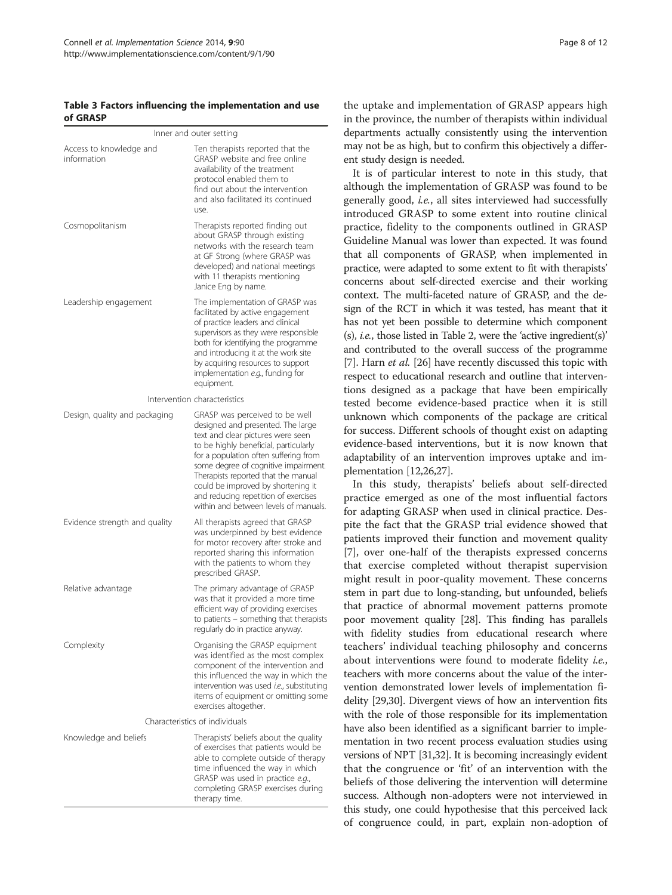<span id="page-7-0"></span>Table 3 Factors influencing the implementation and use of GRASP

|                                        | Inner and outer setting                                                                                                                                                                                                                                                                                                                                                                          |
|----------------------------------------|--------------------------------------------------------------------------------------------------------------------------------------------------------------------------------------------------------------------------------------------------------------------------------------------------------------------------------------------------------------------------------------------------|
| Access to knowledge and<br>information | Ten therapists reported that the<br>GRASP website and free online<br>availability of the treatment<br>protocol enabled them to<br>find out about the intervention<br>and also facilitated its continued<br>use.                                                                                                                                                                                  |
| Cosmopolitanism                        | Therapists reported finding out<br>about GRASP through existing<br>networks with the research team<br>at GF Strong (where GRASP was<br>developed) and national meetings<br>with 11 therapists mentioning<br>Janice Eng by name.                                                                                                                                                                  |
| Leadership engagement                  | The implementation of GRASP was<br>facilitated by active engagement<br>of practice leaders and clinical<br>supervisors as they were responsible<br>both for identifying the programme<br>and introducing it at the work site<br>by acquiring resources to support<br>implementation e.g., funding for<br>equipment.                                                                              |
|                                        | Intervention characteristics                                                                                                                                                                                                                                                                                                                                                                     |
| Design, quality and packaging          | GRASP was perceived to be well<br>designed and presented. The large<br>text and clear pictures were seen<br>to be highly beneficial, particularly<br>for a population often suffering from<br>some degree of cognitive impairment.<br>Therapists reported that the manual<br>could be improved by shortening it<br>and reducing repetition of exercises<br>within and between levels of manuals. |
| Evidence strength and quality          | All therapists agreed that GRASP<br>was underpinned by best evidence<br>for motor recovery after stroke and<br>reported sharing this information<br>with the patients to whom they<br>prescribed GRASP.                                                                                                                                                                                          |
| Relative advantage                     | The primary advantage of GRASP<br>was that it provided a more time<br>efficient way of providing exercises<br>to patients - something that therapists<br>regularly do in practice anyway.                                                                                                                                                                                                        |
| Complexity                             | Organising the GRASP equipment<br>was identified as the most complex<br>component of the intervention and<br>this influenced the way in which the<br>intervention was used i.e., substituting<br>items of equipment or omitting some<br>exercises altogether.                                                                                                                                    |
|                                        | Characteristics of individuals                                                                                                                                                                                                                                                                                                                                                                   |
| Knowledge and beliefs                  | Therapists' beliefs about the quality<br>of exercises that patients would be<br>able to complete outside of therapy<br>time influenced the way in which<br>GRASP was used in practice e.g.,<br>completing GRASP exercises during<br>therapy time.                                                                                                                                                |

the uptake and implementation of GRASP appears high in the province, the number of therapists within individual departments actually consistently using the intervention may not be as high, but to confirm this objectively a different study design is needed.

It is of particular interest to note in this study, that although the implementation of GRASP was found to be generally good, i.e., all sites interviewed had successfully introduced GRASP to some extent into routine clinical practice, fidelity to the components outlined in GRASP Guideline Manual was lower than expected. It was found that all components of GRASP, when implemented in practice, were adapted to some extent to fit with therapists' concerns about self-directed exercise and their working context. The multi-faceted nature of GRASP, and the design of the RCT in which it was tested, has meant that it has not yet been possible to determine which component  $(s)$ , *i.e.*, those listed in Table [2,](#page-6-0) were the 'active ingredient $(s)$ ' and contributed to the overall success of the programme [[7\]](#page-10-0). Harn *et al.* [[26](#page-10-0)] have recently discussed this topic with respect to educational research and outline that interventions designed as a package that have been empirically tested become evidence-based practice when it is still unknown which components of the package are critical for success. Different schools of thought exist on adapting evidence-based interventions, but it is now known that adaptability of an intervention improves uptake and implementation [\[12,26,27](#page-10-0)].

In this study, therapists' beliefs about self-directed practice emerged as one of the most influential factors for adapting GRASP when used in clinical practice. Despite the fact that the GRASP trial evidence showed that patients improved their function and movement quality [[7\]](#page-10-0), over one-half of the therapists expressed concerns that exercise completed without therapist supervision might result in poor-quality movement. These concerns stem in part due to long-standing, but unfounded, beliefs that practice of abnormal movement patterns promote poor movement quality [\[28](#page-10-0)]. This finding has parallels with fidelity studies from educational research where teachers' individual teaching philosophy and concerns about interventions were found to moderate fidelity i.e., teachers with more concerns about the value of the intervention demonstrated lower levels of implementation fidelity [[29,30](#page-10-0)]. Divergent views of how an intervention fits with the role of those responsible for its implementation have also been identified as a significant barrier to implementation in two recent process evaluation studies using versions of NPT [\[31,32\]](#page-10-0). It is becoming increasingly evident that the congruence or 'fit' of an intervention with the beliefs of those delivering the intervention will determine success. Although non-adopters were not interviewed in this study, one could hypothesise that this perceived lack of congruence could, in part, explain non-adoption of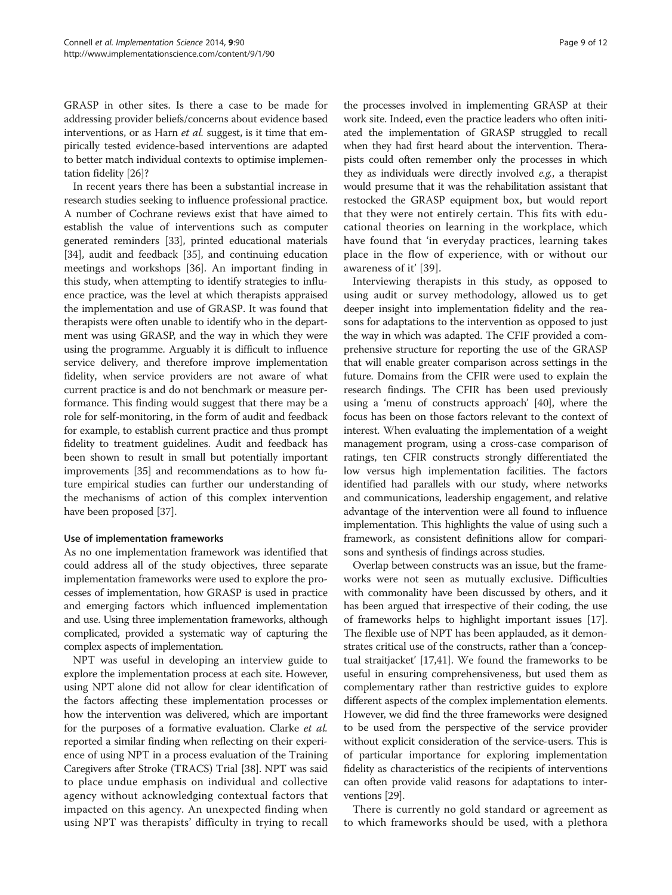GRASP in other sites. Is there a case to be made for addressing provider beliefs/concerns about evidence based interventions, or as Harn et al. suggest, is it time that empirically tested evidence-based interventions are adapted to better match individual contexts to optimise implementation fidelity [\[26\]](#page-10-0)?

In recent years there has been a substantial increase in research studies seeking to influence professional practice. A number of Cochrane reviews exist that have aimed to establish the value of interventions such as computer generated reminders [\[33](#page-10-0)], printed educational materials [[34](#page-10-0)], audit and feedback [\[35\]](#page-10-0), and continuing education meetings and workshops [\[36\]](#page-10-0). An important finding in this study, when attempting to identify strategies to influence practice, was the level at which therapists appraised the implementation and use of GRASP. It was found that therapists were often unable to identify who in the department was using GRASP, and the way in which they were using the programme. Arguably it is difficult to influence service delivery, and therefore improve implementation fidelity, when service providers are not aware of what current practice is and do not benchmark or measure performance. This finding would suggest that there may be a role for self-monitoring, in the form of audit and feedback for example, to establish current practice and thus prompt fidelity to treatment guidelines. Audit and feedback has been shown to result in small but potentially important improvements [\[35](#page-10-0)] and recommendations as to how future empirical studies can further our understanding of the mechanisms of action of this complex intervention have been proposed [[37](#page-10-0)].

#### Use of implementation frameworks

As no one implementation framework was identified that could address all of the study objectives, three separate implementation frameworks were used to explore the processes of implementation, how GRASP is used in practice and emerging factors which influenced implementation and use. Using three implementation frameworks, although complicated, provided a systematic way of capturing the complex aspects of implementation.

NPT was useful in developing an interview guide to explore the implementation process at each site. However, using NPT alone did not allow for clear identification of the factors affecting these implementation processes or how the intervention was delivered, which are important for the purposes of a formative evaluation. Clarke et al. reported a similar finding when reflecting on their experience of using NPT in a process evaluation of the Training Caregivers after Stroke (TRACS) Trial [[38](#page-10-0)]. NPT was said to place undue emphasis on individual and collective agency without acknowledging contextual factors that impacted on this agency. An unexpected finding when using NPT was therapists' difficulty in trying to recall

the processes involved in implementing GRASP at their work site. Indeed, even the practice leaders who often initiated the implementation of GRASP struggled to recall when they had first heard about the intervention. Therapists could often remember only the processes in which they as individuals were directly involved e.g., a therapist would presume that it was the rehabilitation assistant that restocked the GRASP equipment box, but would report that they were not entirely certain. This fits with educational theories on learning in the workplace, which have found that 'in everyday practices, learning takes place in the flow of experience, with or without our awareness of it' [\[39\]](#page-10-0).

Interviewing therapists in this study, as opposed to using audit or survey methodology, allowed us to get deeper insight into implementation fidelity and the reasons for adaptations to the intervention as opposed to just the way in which was adapted. The CFIF provided a comprehensive structure for reporting the use of the GRASP that will enable greater comparison across settings in the future. Domains from the CFIR were used to explain the research findings. The CFIR has been used previously using a 'menu of constructs approach' [[40](#page-10-0)], where the focus has been on those factors relevant to the context of interest. When evaluating the implementation of a weight management program, using a cross-case comparison of ratings, ten CFIR constructs strongly differentiated the low versus high implementation facilities. The factors identified had parallels with our study, where networks and communications, leadership engagement, and relative advantage of the intervention were all found to influence implementation. This highlights the value of using such a framework, as consistent definitions allow for comparisons and synthesis of findings across studies.

Overlap between constructs was an issue, but the frameworks were not seen as mutually exclusive. Difficulties with commonality have been discussed by others, and it has been argued that irrespective of their coding, the use of frameworks helps to highlight important issues [[17](#page-10-0)]. The flexible use of NPT has been applauded, as it demonstrates critical use of the constructs, rather than a 'conceptual straitjacket' [\[17](#page-10-0)[,41\]](#page-11-0). We found the frameworks to be useful in ensuring comprehensiveness, but used them as complementary rather than restrictive guides to explore different aspects of the complex implementation elements. However, we did find the three frameworks were designed to be used from the perspective of the service provider without explicit consideration of the service-users. This is of particular importance for exploring implementation fidelity as characteristics of the recipients of interventions can often provide valid reasons for adaptations to interventions [\[29\]](#page-10-0).

There is currently no gold standard or agreement as to which frameworks should be used, with a plethora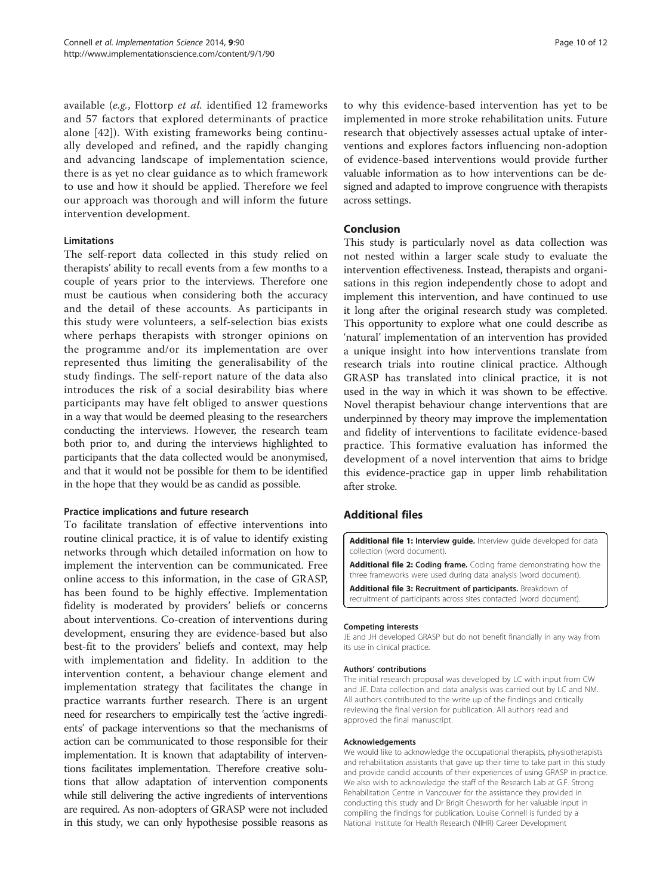<span id="page-9-0"></span>available (e.g., Flottorp et al. identified 12 frameworks and 57 factors that explored determinants of practice alone [[42](#page-11-0)]). With existing frameworks being continually developed and refined, and the rapidly changing and advancing landscape of implementation science, there is as yet no clear guidance as to which framework to use and how it should be applied. Therefore we feel our approach was thorough and will inform the future intervention development.

#### Limitations

The self-report data collected in this study relied on therapists' ability to recall events from a few months to a couple of years prior to the interviews. Therefore one must be cautious when considering both the accuracy and the detail of these accounts. As participants in this study were volunteers, a self-selection bias exists where perhaps therapists with stronger opinions on the programme and/or its implementation are over represented thus limiting the generalisability of the study findings. The self-report nature of the data also introduces the risk of a social desirability bias where participants may have felt obliged to answer questions in a way that would be deemed pleasing to the researchers conducting the interviews. However, the research team both prior to, and during the interviews highlighted to participants that the data collected would be anonymised, and that it would not be possible for them to be identified in the hope that they would be as candid as possible.

#### Practice implications and future research

To facilitate translation of effective interventions into routine clinical practice, it is of value to identify existing networks through which detailed information on how to implement the intervention can be communicated. Free online access to this information, in the case of GRASP, has been found to be highly effective. Implementation fidelity is moderated by providers' beliefs or concerns about interventions. Co-creation of interventions during development, ensuring they are evidence-based but also best-fit to the providers' beliefs and context, may help with implementation and fidelity. In addition to the intervention content, a behaviour change element and implementation strategy that facilitates the change in practice warrants further research. There is an urgent need for researchers to empirically test the 'active ingredients' of package interventions so that the mechanisms of action can be communicated to those responsible for their implementation. It is known that adaptability of interventions facilitates implementation. Therefore creative solutions that allow adaptation of intervention components while still delivering the active ingredients of interventions are required. As non-adopters of GRASP were not included in this study, we can only hypothesise possible reasons as

to why this evidence-based intervention has yet to be implemented in more stroke rehabilitation units. Future research that objectively assesses actual uptake of interventions and explores factors influencing non-adoption of evidence-based interventions would provide further valuable information as to how interventions can be designed and adapted to improve congruence with therapists across settings.

## Conclusion

This study is particularly novel as data collection was not nested within a larger scale study to evaluate the intervention effectiveness. Instead, therapists and organisations in this region independently chose to adopt and implement this intervention, and have continued to use it long after the original research study was completed. This opportunity to explore what one could describe as 'natural' implementation of an intervention has provided a unique insight into how interventions translate from research trials into routine clinical practice. Although GRASP has translated into clinical practice, it is not used in the way in which it was shown to be effective. Novel therapist behaviour change interventions that are underpinned by theory may improve the implementation and fidelity of interventions to facilitate evidence-based practice. This formative evaluation has informed the development of a novel intervention that aims to bridge this evidence-practice gap in upper limb rehabilitation after stroke.

# Additional files

[Additional file 1:](http://www.implementationscience.com/content/supplementary/s13012-014-0090-3-s1.docx) Interview guide. Interview guide developed for data collection (word document).

[Additional file 2:](http://www.implementationscience.com/content/supplementary/s13012-014-0090-3-s2.docx) Coding frame. Coding frame demonstrating how the three frameworks were used during data analysis (word document).

[Additional file 3:](http://www.implementationscience.com/content/supplementary/s13012-014-0090-3-s3.docx) Recruitment of participants. Breakdown of recruitment of participants across sites contacted (word document).

#### Competing interests

JE and JH developed GRASP but do not benefit financially in any way from its use in clinical practice.

#### Authors' contributions

The initial research proposal was developed by LC with input from CW and JE. Data collection and data analysis was carried out by LC and NM. All authors contributed to the write up of the findings and critically reviewing the final version for publication. All authors read and approved the final manuscript.

#### Acknowledgements

We would like to acknowledge the occupational therapists, physiotherapists and rehabilitation assistants that gave up their time to take part in this study and provide candid accounts of their experiences of using GRASP in practice. We also wish to acknowledge the staff of the Research Lab at G.F. Strong Rehabilitation Centre in Vancouver for the assistance they provided in conducting this study and Dr Brigit Chesworth for her valuable input in compiling the findings for publication. Louise Connell is funded by a National Institute for Health Research (NIHR) Career Development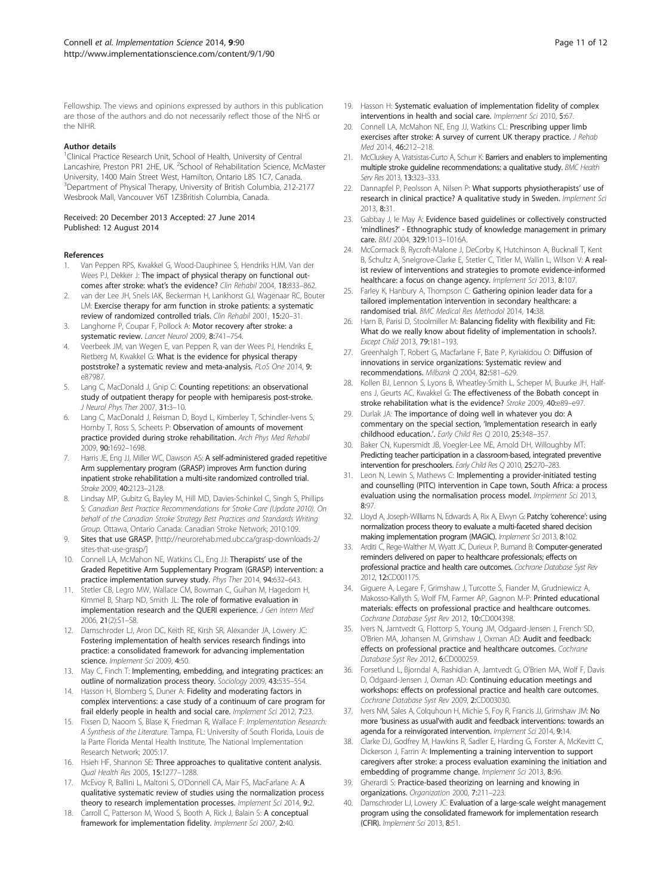<span id="page-10-0"></span>Fellowship. The views and opinions expressed by authors in this publication are those of the authors and do not necessarily reflect those of the NHS or the NIHR.

#### Author details

<sup>1</sup>Clinical Practice Research Unit, School of Health, University of Central Lancashire, Preston PR1 2HE, UK. <sup>2</sup>School of Rehabilitation Science, McMaster University, 1400 Main Street West, Hamilton, Ontario L8S 1C7, Canada. <sup>3</sup>Department of Physical Therapy, University of British Columbia, 212-2177 Wesbrook Mall, Vancouver V6T 1Z3British Columbia, Canada.

#### Received: 20 December 2013 Accepted: 27 June 2014 Published: 12 August 2014

#### References

- 1. Van Peppen RPS, Kwakkel G, Wood-Dauphinee S, Hendriks HJM, Van der Wees PJ, Dekker J: The impact of physical therapy on functional outcomes after stroke: what's the evidence? Clin Rehabil 2004, 18:833–862.
- 2. van der Lee JH, Snels IAK, Beckerman H, Lankhorst GJ, Wagenaar RC, Bouter LM: Exercise therapy for arm function in stroke patients: a systematic review of randomized controlled trials. Clin Rehabil 2001, 15:20–31.
- 3. Langhorne P, Coupar F, Pollock A: Motor recovery after stroke: a systematic review. Lancet Neurol 2009, 8:741–754.
- 4. Veerbeek JM, van Wegen E, van Peppen R, van der Wees PJ, Hendriks E, Rietberg M, Kwakkel G: What is the evidence for physical therapy poststroke? a systematic review and meta-analysis. PLoS One 2014, 9: e87987.
- 5. Lang C, MacDonald J, Gnip C: Counting repetitions: an observational study of outpatient therapy for people with hemiparesis post-stroke. J Neurol Phys Ther 2007, 31:3–10.
- Lang C, MacDonald J, Reisman D, Boyd L, Kimberley T, Schindler-Ivens S, Hornby T, Ross S, Scheets P: Observation of amounts of movement practice provided during stroke rehabilitation. Arch Phys Med Rehabil 2009, 90:1692–1698.
- 7. Harris JE, Eng JJ, Miller WC, Dawson AS: A self-administered graded repetitive Arm supplementary program (GRASP) improves Arm function during inpatient stroke rehabilitation a multi-site randomized controlled trial. Stroke 2009, 40:2123–2128.
- 8. Lindsay MP, Gubitz G, Bayley M, Hill MD, Davies-Schinkel C, Singh S, Phillips S: Canadian Best Practice Recommendations for Stroke Care (Update 2010). On behalf of the Canadian Stroke Strategy Best Practices and Standards Writing Group. Ottawa, Ontario Canada: Canadian Stroke Network; 2010:109.
- 9. Sites that use GRASP. [\[http://neurorehab.med.ubc.ca/grasp-downloads-2/](http://neurorehab.med.ubc.ca/grasp-downloads-2/sites-that-use-grasp/) [sites-that-use-grasp/](http://neurorehab.med.ubc.ca/grasp-downloads-2/sites-that-use-grasp/)]
- 10. Connell LA, McMahon NE, Watkins CL, Eng JJ: Therapists' use of the Graded Repetitive Arm Supplementary Program (GRASP) intervention: a practice implementation survey study. Phys Ther 2014, 94:632–643.
- 11. Stetler CB, Legro MW, Wallace CM, Bowman C, Guihan M, Hagedorn H, Kimmel B, Sharp ND, Smith JL: The role of formative evaluation in implementation research and the QUERI experience. J Gen Intern Med 2006, 21(2):S1–S8.
- 12. Damschroder LJ, Aron DC, Keith RE, Kirsh SR, Alexander JA, Lowery JC: Fostering implementation of health services research findings into practice: a consolidated framework for advancing implementation science. Implement Sci 2009, 4:50.
- 13. May C, Finch T: Implementing, embedding, and integrating practices: an outline of normalization process theory. Sociology 2009, 43:535–554.
- 14. Hasson H, Blomberg S, Duner A: Fidelity and moderating factors in complex interventions: a case study of a continuum of care program for frail elderly people in health and social care. Implement Sci 2012, 7:23.
- 15. Fixsen D, Naoom S, Blase K, Friedman R, Wallace F: Implementation Research: A Synthesis of the Literature. Tampa, FL: University of South Florida, Louis de la Parte Florida Mental Health Institute, The National Implementation Research Network; 2005:17.
- 16. Hsieh HF, Shannon SE: Three approaches to qualitative content analysis. Qual Health Res 2005, 15:1277–1288.
- 17. McEvoy R, Ballini L, Maltoni S, O'Donnell CA, Mair FS, MacFarlane A: A qualitative systematic review of studies using the normalization process theory to research implementation processes. Implement Sci 2014, 9:2.
- 18. Carroll C, Patterson M, Wood S, Booth A, Rick J, Balain S: A conceptual framework for implementation fidelity. Implement Sci 2007, 2:40.
- 19. Hasson H: Systematic evaluation of implementation fidelity of complex interventions in health and social care. Implement Sci 2010, 5:67.
- 20. Connell LA, McMahon NE, Eng JJ, Watkins CL: Prescribing upper limb exercises after stroke: A survey of current UK therapy practice. J Rehab Med 2014, 46:212–218.
- 21. McCluskey A, Vratsistas-Curto A, Schurr K: Barriers and enablers to implementing multiple stroke guideline recommendations: a qualitative study. BMC Health Serv Res 2013, 13:323-333.
- 22. Dannapfel P, Peolsson A, Nilsen P: What supports physiotherapists' use of research in clinical practice? A qualitative study in Sweden. Implement Sci 2013, 8:31.
- 23. Gabbay J, le May A: Evidence based guidelines or collectively constructed 'mindlines?' - Ethnographic study of knowledge management in primary care. BMJ 2004, 329:1013–1016A.
- 24. McCormack B, Rycroft-Malone J, DeCorby K, Hutchinson A, Bucknall T, Kent B, Schultz A, Snelgrove-Clarke E, Stetler C, Titler M, Wallin L, Wilson V: A realist review of interventions and strategies to promote evidence-informed healthcare: a focus on change agency. Implement Sci 2013, 8:107.
- 25. Farley K, Hanbury A, Thompson C: Gathering opinion leader data for a tailored implementation intervention in secondary healthcare: a randomised trial. BMC Medical Res Methodol 2014, 14:38.
- 26. Harn B, Parisi D, Stoolmiller M: Balancing fidelity with flexibility and Fit: What do we really know about fidelity of implementation in schools?. Except Child 2013, 79:181–193.
- 27. Greenhalgh T, Robert G, Macfarlane F, Bate P, Kyriakidou O: Diffusion of innovations in service organizations: Systematic review and recommendations. Milbank Q 2004, 82:581–629.
- 28. Kollen BJ, Lennon S, Lyons B, Wheatley-Smith L, Scheper M, Buurke JH, Halfens J, Geurts AC, Kwakkel G: The effectiveness of the Bobath concept in stroke rehabilitation what is the evidence? Stroke 2009, 40:e89–e97.
- 29. Durlak JA: The importance of doing well in whatever you do: A commentary on the special section, 'Implementation research in early childhood education.'. Early Child Res Q 2010, 25:348–357.
- 30. Baker CN, Kupersmidt JB, Voegler-Lee ME, Arnold DH, Willoughby MT: Predicting teacher participation in a classroom-based, integrated preventive intervention for preschoolers. Early Child Res Q 2010, 25:270–283.
- 31. Leon N, Lewin S, Mathews C: Implementing a provider-initiated testing and counselling (PITC) intervention in Cape town, South Africa: a process evaluation using the normalisation process model. Implement Sci 2013, 8:97.
- 32. Lloyd A, Joseph-Williams N, Edwards A, Rix A, Elwyn G: Patchy 'coherence': using normalization process theory to evaluate a multi-faceted shared decision making implementation program (MAGIC). Implement Sci 2013, 8:102.
- 33. Arditi C, Rege-Walther M, Wyatt JC, Durieux P, Burnand B: Computer-generated reminders delivered on paper to healthcare professionals; effects on professional practice and health care outcomes. Cochrane Database Syst Rev 2012, 12:CD001175.
- 34. Giguere A, Legare F, Grimshaw J, Turcotte S, Fiander M, Grudniewicz A, Makosso-Kallyth S, Wolf FM, Farmer AP, Gagnon M-P: Printed educational materials: effects on professional practice and healthcare outcomes. Cochrane Database Syst Rev 2012, 10:CD004398.
- 35. Ivers N, Jamtvedt G, Flottorp S, Young JM, Odgaard-Jensen J, French SD, O'Brien MA, Johansen M, Grimshaw J, Oxman AD: Audit and feedback: effects on professional practice and healthcare outcomes. Cochrane Database Syst Rev 2012, 6:CD000259.
- 36. Forsetlund L, Bjorndal A, Rashidian A, Jamtvedt G, O'Brien MA, Wolf F, Davis D, Odgaard-Jensen J, Oxman AD: Continuing education meetings and workshops: effects on professional practice and health care outcomes. Cochrane Database Syst Rev 2009, 2:CD003030.
- 37. Ivers NM, Sales A, Colquhoun H, Michie S, Foy R, Francis JJ, Grimshaw JM: No more 'business as usual'with audit and feedback interventions: towards an agenda for a reinvigorated intervention. Implement Sci 2014, 9:14.
- 38. Clarke DJ, Godfrey M, Hawkins R, Sadler E, Harding G, Forster A, McKevitt C, Dickerson J, Farrin A: Implementing a training intervention to support caregivers after stroke: a process evaluation examining the initiation and embedding of programme change. Implement Sci 2013, 8:96.
- 39. Gherardi S: Practice-based theorizing on learning and knowing in organizations. Organization 2000, 7:211–223.
- 40. Damschroder LJ, Lowery JC: Evaluation of a large-scale weight management program using the consolidated framework for implementation research (CFIR). Implement Sci 2013, 8:51.